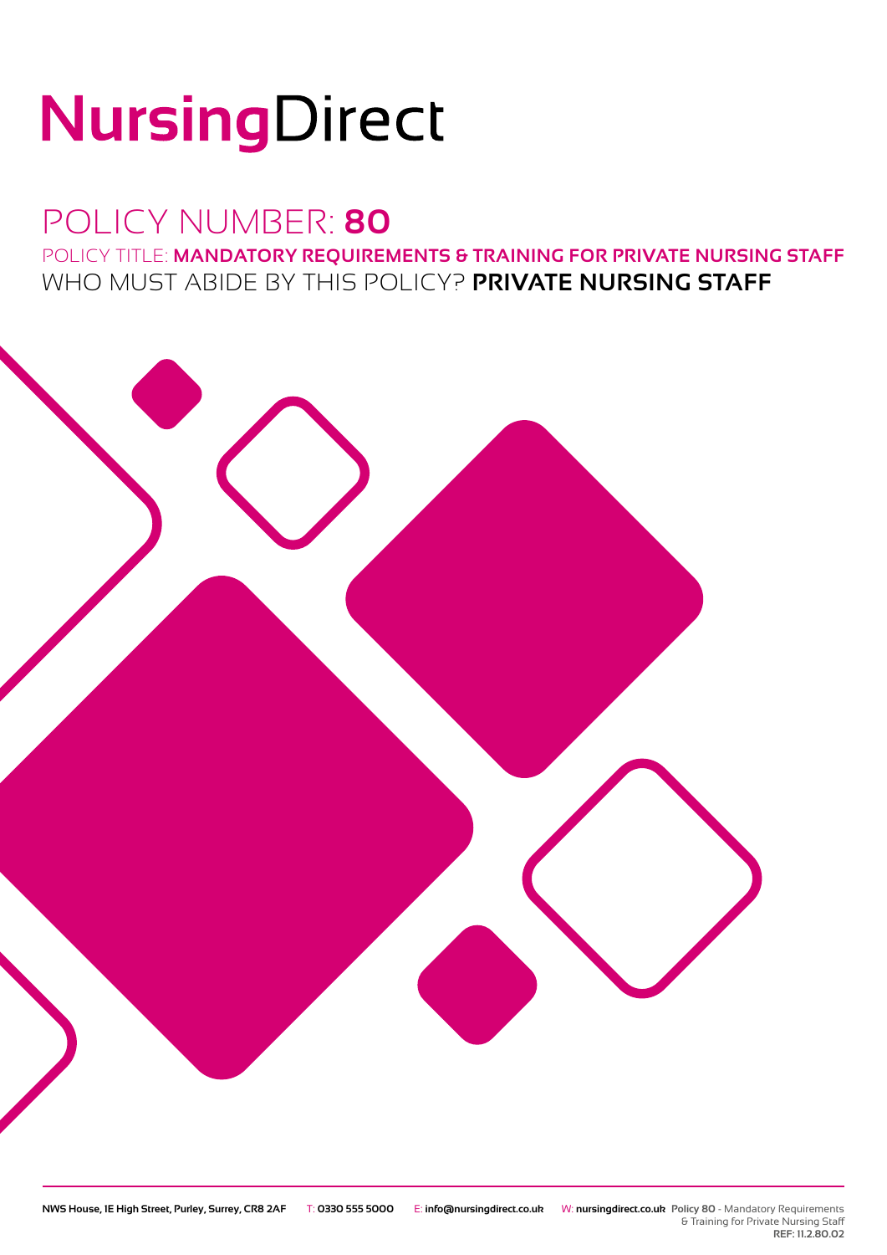# NursingDirect

### POLICY NUMBER: **80**

POLICY TITLE: **MANDATORY REQUIREMENTS & TRAINING FOR PRIVATE NURSING STAFF** WHO MUST ABIDE BY THIS POLICY? **PRIVATE NURSING STAFF**



**REF: 11.2.80.02**